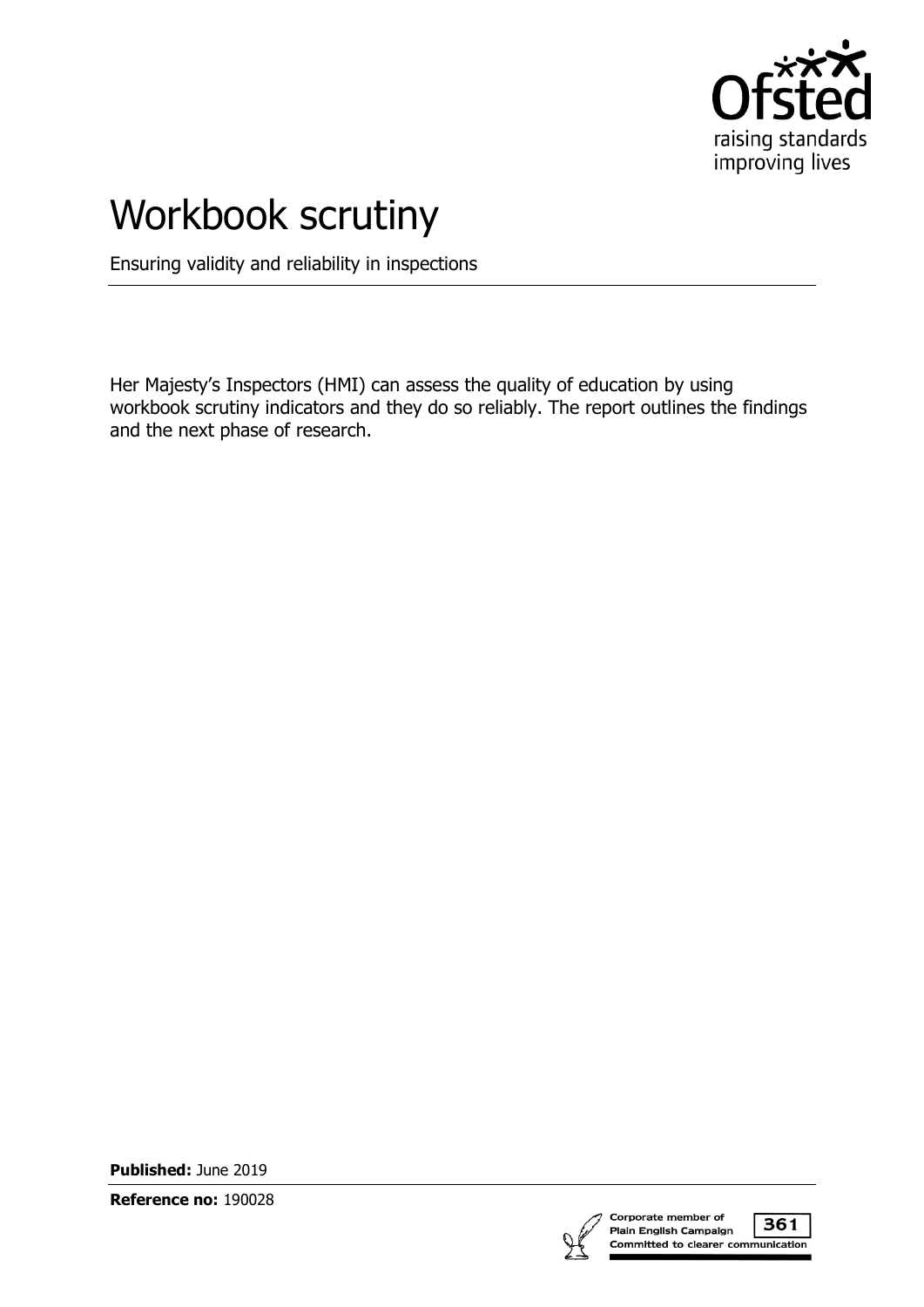

# Workbook scrutiny

Ensuring validity and reliability in inspections

Her Majesty's Inspectors (HMI) can assess the quality of education by using workbook scrutiny indicators and they do so reliably. The report outlines the findings and the next phase of research.

**Published:** June 2019

**Reference no:** 190028

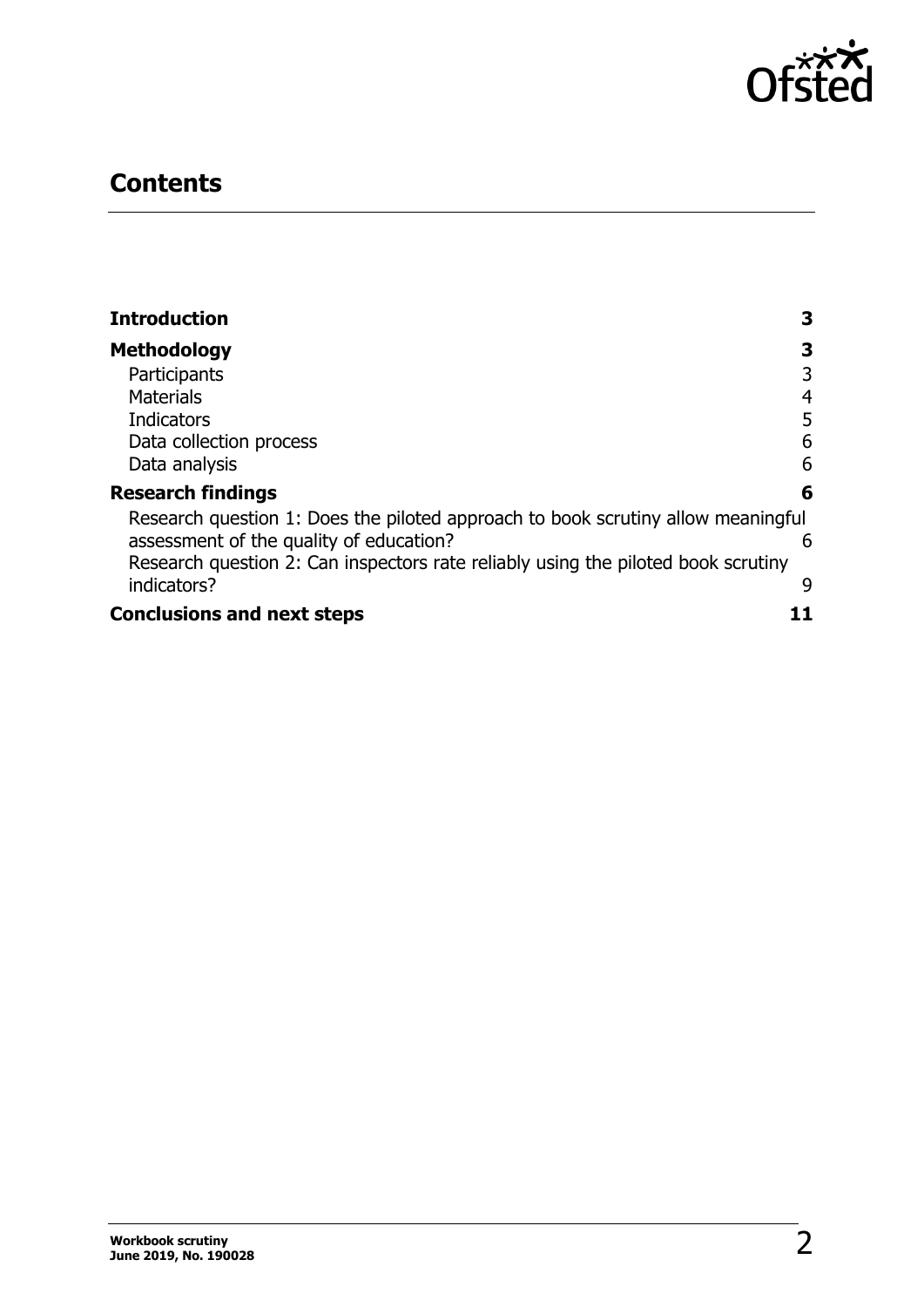

# **Contents**

| <b>Introduction</b>                                                               | З              |
|-----------------------------------------------------------------------------------|----------------|
| <b>Methodology</b>                                                                | З              |
| Participants                                                                      | 3              |
| <b>Materials</b>                                                                  | $\overline{4}$ |
| Indicators                                                                        | 5              |
| Data collection process                                                           | 6              |
| Data analysis                                                                     | 6              |
| <b>Research findings</b>                                                          | 6              |
| Research question 1: Does the piloted approach to book scrutiny allow meaningful  |                |
| assessment of the quality of education?                                           | 6              |
| Research question 2: Can inspectors rate reliably using the piloted book scrutiny |                |
| indicators?                                                                       | 9              |
| <b>Conclusions and next steps</b>                                                 |                |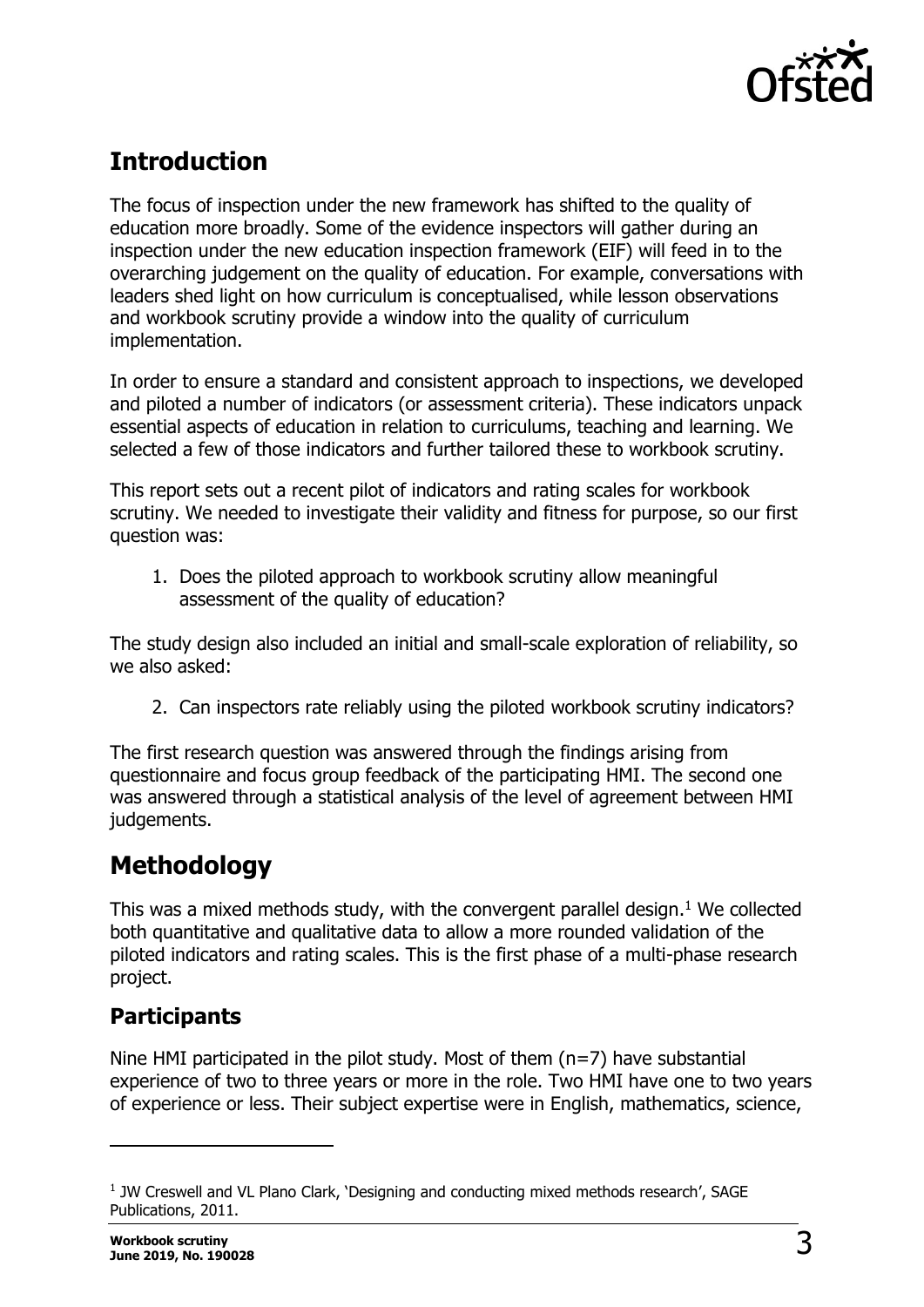

# <span id="page-2-0"></span>**Introduction**

The focus of inspection under the new framework has shifted to the quality of education more broadly. Some of the evidence inspectors will gather during an inspection under the new education inspection framework (EIF) will feed in to the overarching judgement on the quality of education. For example, conversations with leaders shed light on how curriculum is conceptualised, while lesson observations and workbook scrutiny provide a window into the quality of curriculum implementation.

In order to ensure a standard and consistent approach to inspections, we developed and piloted a number of indicators (or assessment criteria). These indicators unpack essential aspects of education in relation to curriculums, teaching and learning. We selected a few of those indicators and further tailored these to workbook scrutiny.

This report sets out a recent pilot of indicators and rating scales for workbook scrutiny. We needed to investigate their validity and fitness for purpose, so our first question was:

1. Does the piloted approach to workbook scrutiny allow meaningful assessment of the quality of education?

The study design also included an initial and small-scale exploration of reliability, so we also asked:

2. Can inspectors rate reliably using the piloted workbook scrutiny indicators?

The first research question was answered through the findings arising from questionnaire and focus group feedback of the participating HMI. The second one was answered through a statistical analysis of the level of agreement between HMI judgements.

# <span id="page-2-1"></span>**Methodology**

This was a mixed methods study, with the convergent parallel design. <sup>1</sup> We collected both quantitative and qualitative data to allow a more rounded validation of the piloted indicators and rating scales. This is the first phase of a multi-phase research project.

### <span id="page-2-2"></span>**Participants**

Nine HMI participated in the pilot study. Most of them  $(n=7)$  have substantial experience of two to three years or more in the role. Two HMI have one to two years of experience or less. Their subject expertise were in English, mathematics, science,

 $\overline{a}$ 

<sup>&</sup>lt;sup>1</sup> JW Creswell and VL Plano Clark, 'Designing and conducting mixed methods research', SAGE Publications, 2011.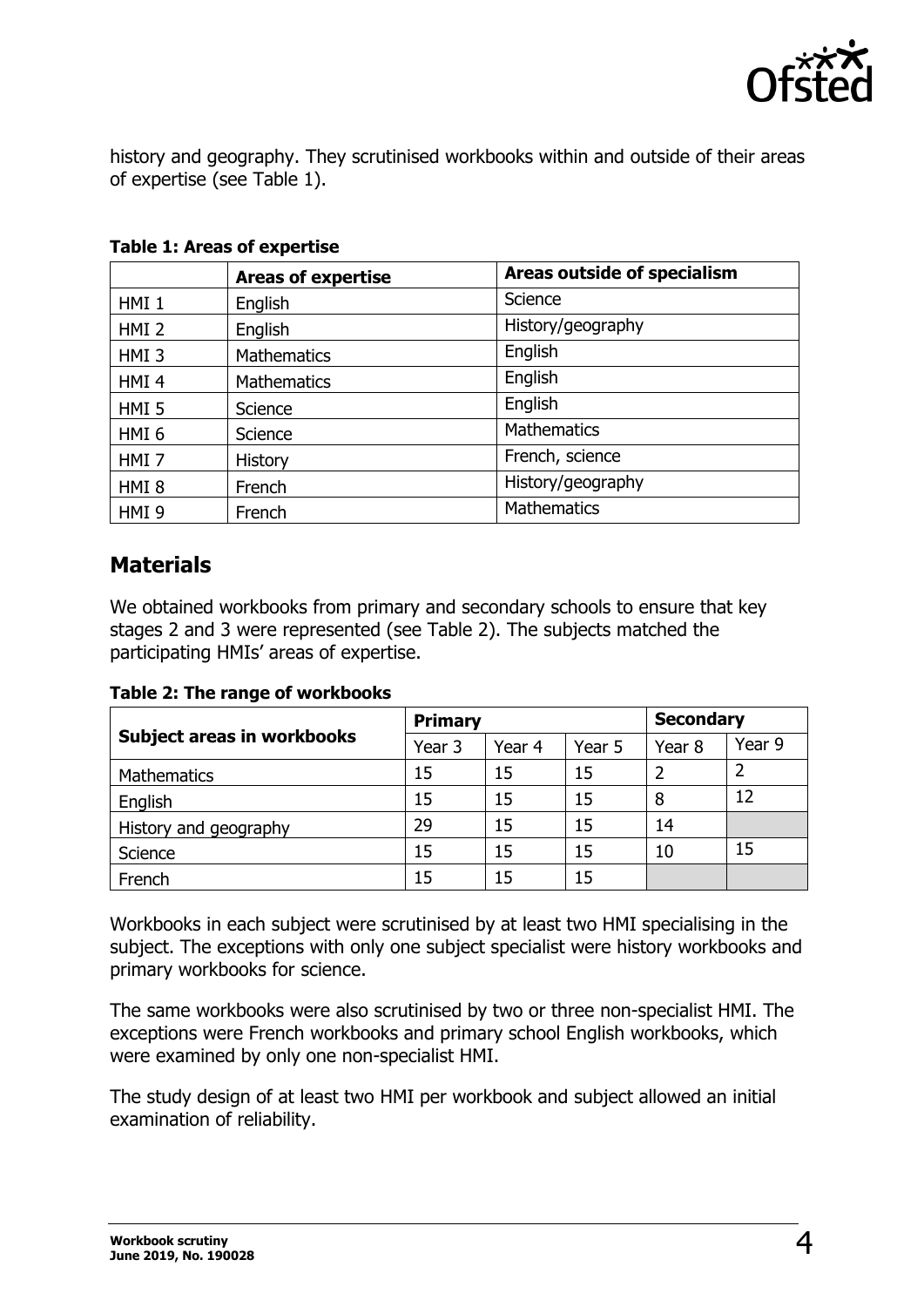

history and geography. They scrutinised workbooks within and outside of their areas of expertise (see Table 1).

|                  | <b>Areas of expertise</b> | <b>Areas outside of specialism</b> |
|------------------|---------------------------|------------------------------------|
| HMI <sub>1</sub> | English                   | Science                            |
| HMI <sub>2</sub> | English                   | History/geography                  |
| HMI <sub>3</sub> | <b>Mathematics</b>        | English                            |
| HMI <sub>4</sub> | <b>Mathematics</b>        | English                            |
| HMI <sub>5</sub> | Science                   | English                            |
| HMI <sub>6</sub> | Science                   | <b>Mathematics</b>                 |
| HMI <sub>7</sub> | <b>History</b>            | French, science                    |
| HMI <sub>8</sub> | French                    | History/geography                  |
| HMI <sub>9</sub> | French                    | <b>Mathematics</b>                 |

**Table 1: Areas of expertise** 

### <span id="page-3-0"></span>**Materials**

We obtained workbooks from primary and secondary schools to ensure that key stages 2 and 3 were represented (see Table 2). The subjects matched the participating HMIs' areas of expertise.

**Table 2: The range of workbooks**

|                                   | <b>Primary</b> |        |        | <b>Secondary</b> |        |
|-----------------------------------|----------------|--------|--------|------------------|--------|
| <b>Subject areas in workbooks</b> | Year 3         | Year 4 | Year 5 | Year 8           | Year 9 |
| <b>Mathematics</b>                | 15             | 15     | 15     |                  |        |
| English                           | 15             | 15     | 15     | 8                | 12     |
| History and geography             | 29             | 15     | 15     | 14               |        |
| Science                           | 15             | 15     | 15     | 10               | 15     |
| French                            | 15             | 15     | 15     |                  |        |

Workbooks in each subject were scrutinised by at least two HMI specialising in the subject. The exceptions with only one subject specialist were history workbooks and primary workbooks for science.

The same workbooks were also scrutinised by two or three non-specialist HMI. The exceptions were French workbooks and primary school English workbooks, which were examined by only one non-specialist HMI.

The study design of at least two HMI per workbook and subject allowed an initial examination of reliability.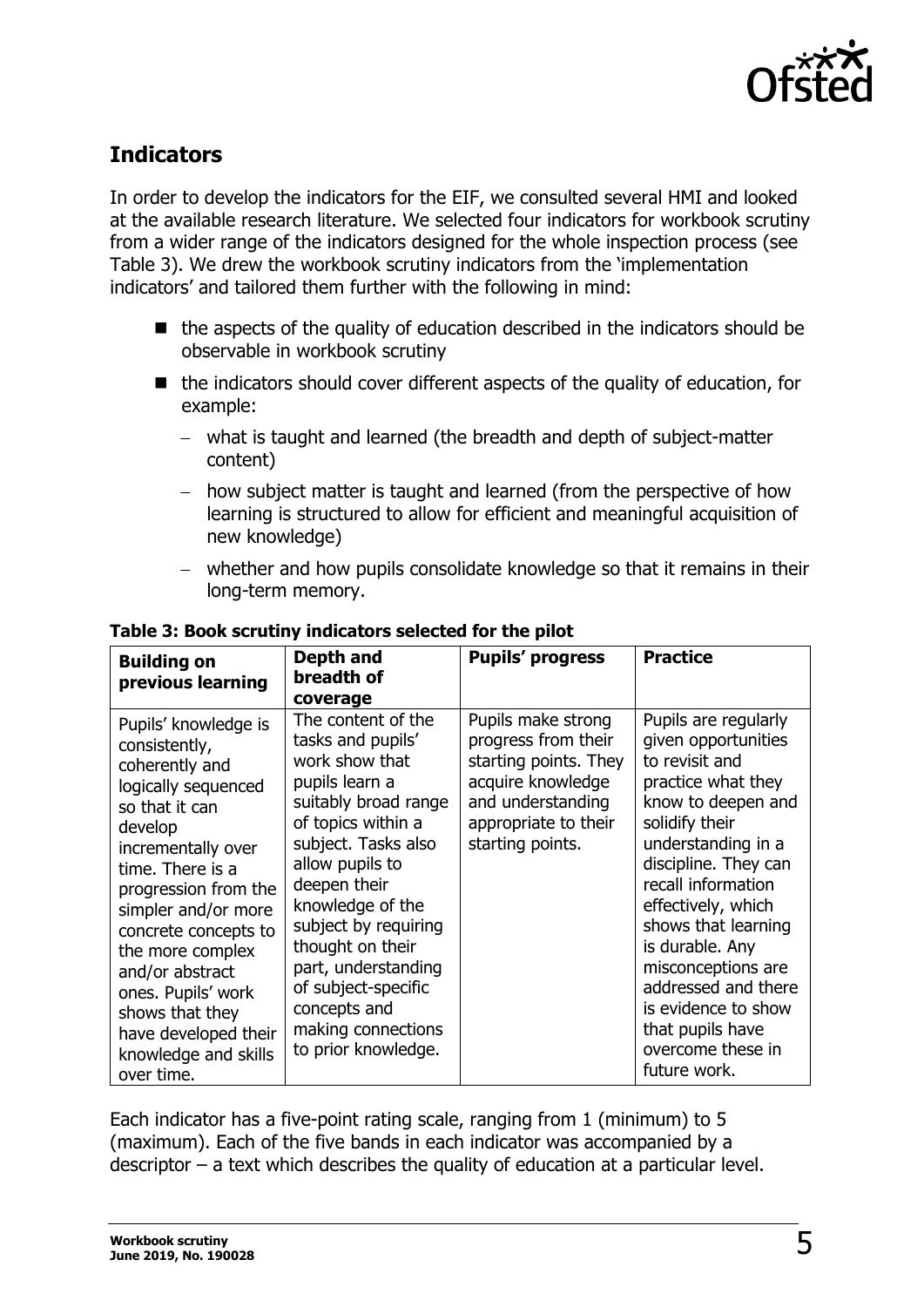

### <span id="page-4-0"></span>**Indicators**

In order to develop the indicators for the EIF, we consulted several HMI and looked at the available research literature. We selected four indicators for workbook scrutiny from a wider range of the indicators designed for the whole inspection process (see Table 3). We drew the workbook scrutiny indicators from the 'implementation indicators' and tailored them further with the following in mind:

- the aspects of the quality of education described in the indicators should be observable in workbook scrutiny
- the indicators should cover different aspects of the quality of education, for example:
	- − what is taught and learned (the breadth and depth of subject-matter content)
	- − how subject matter is taught and learned (from the perspective of how learning is structured to allow for efficient and meaningful acquisition of new knowledge)
	- − whether and how pupils consolidate knowledge so that it remains in their long-term memory.

| <b>Building on</b><br>previous learning                                                                                                                                                                                                                                                                                                                                    | Depth and<br>breadth of<br>coverage                                                                                                                                                                                                                                                                                                                            | <b>Pupils' progress</b>                                                                                                                                  | <b>Practice</b>                                                                                                                                                                                                                                                                                                                                                                              |
|----------------------------------------------------------------------------------------------------------------------------------------------------------------------------------------------------------------------------------------------------------------------------------------------------------------------------------------------------------------------------|----------------------------------------------------------------------------------------------------------------------------------------------------------------------------------------------------------------------------------------------------------------------------------------------------------------------------------------------------------------|----------------------------------------------------------------------------------------------------------------------------------------------------------|----------------------------------------------------------------------------------------------------------------------------------------------------------------------------------------------------------------------------------------------------------------------------------------------------------------------------------------------------------------------------------------------|
| Pupils' knowledge is<br>consistently,<br>coherently and<br>logically sequenced<br>so that it can<br>develop<br>incrementally over<br>time. There is a<br>progression from the<br>simpler and/or more<br>concrete concepts to<br>the more complex<br>and/or abstract<br>ones. Pupils' work<br>shows that they<br>have developed their<br>knowledge and skills<br>over time. | The content of the<br>tasks and pupils'<br>work show that<br>pupils learn a<br>suitably broad range<br>of topics within a<br>subject. Tasks also<br>allow pupils to<br>deepen their<br>knowledge of the<br>subject by requiring<br>thought on their<br>part, understanding<br>of subject-specific<br>concepts and<br>making connections<br>to prior knowledge. | Pupils make strong<br>progress from their<br>starting points. They<br>acquire knowledge<br>and understanding<br>appropriate to their<br>starting points. | Pupils are regularly<br>given opportunities<br>to revisit and<br>practice what they<br>know to deepen and<br>solidify their<br>understanding in a<br>discipline. They can<br>recall information<br>effectively, which<br>shows that learning<br>is durable. Any<br>misconceptions are<br>addressed and there<br>is evidence to show<br>that pupils have<br>overcome these in<br>future work. |

#### **Table 3: Book scrutiny indicators selected for the pilot**

Each indicator has a five-point rating scale, ranging from 1 (minimum) to 5 (maximum). Each of the five bands in each indicator was accompanied by a descriptor – a text which describes the quality of education at a particular level.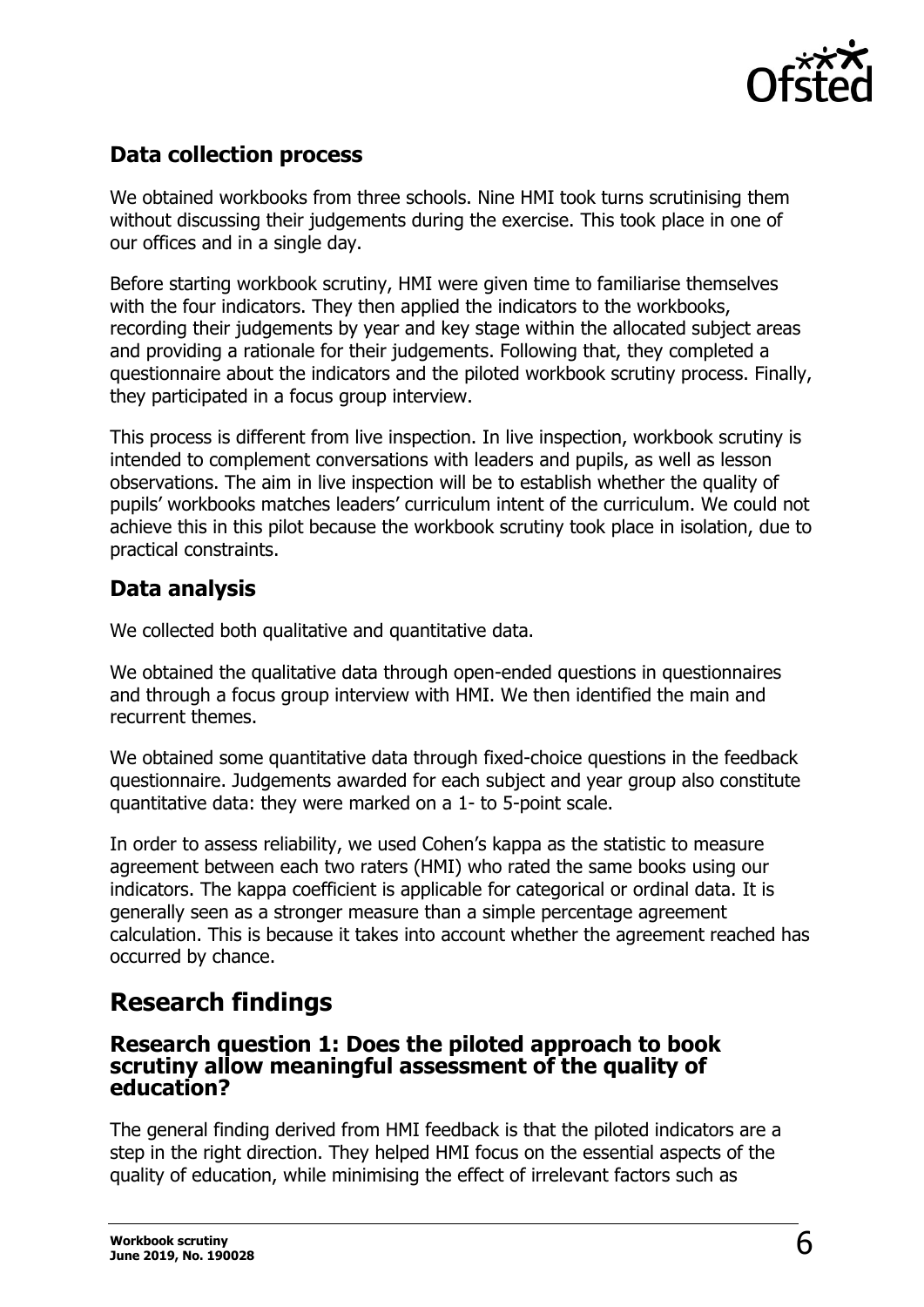

### <span id="page-5-0"></span>**Data collection process**

We obtained workbooks from three schools. Nine HMI took turns scrutinising them without discussing their judgements during the exercise. This took place in one of our offices and in a single day.

Before starting workbook scrutiny, HMI were given time to familiarise themselves with the four indicators. They then applied the indicators to the workbooks, recording their judgements by year and key stage within the allocated subject areas and providing a rationale for their judgements. Following that, they completed a questionnaire about the indicators and the piloted workbook scrutiny process. Finally, they participated in a focus group interview.

This process is different from live inspection. In live inspection, workbook scrutiny is intended to complement conversations with leaders and pupils, as well as lesson observations. The aim in live inspection will be to establish whether the quality of pupils' workbooks matches leaders' curriculum intent of the curriculum. We could not achieve this in this pilot because the workbook scrutiny took place in isolation, due to practical constraints.

### <span id="page-5-1"></span>**Data analysis**

We collected both qualitative and quantitative data.

We obtained the qualitative data through open-ended questions in questionnaires and through a focus group interview with HMI. We then identified the main and recurrent themes.

We obtained some quantitative data through fixed-choice questions in the feedback questionnaire. Judgements awarded for each subject and year group also constitute quantitative data: they were marked on a 1- to 5-point scale.

In order to assess reliability, we used Cohen's kappa as the statistic to measure agreement between each two raters (HMI) who rated the same books using our indicators. The kappa coefficient is applicable for categorical or ordinal data. It is generally seen as a stronger measure than a simple percentage agreement calculation. This is because it takes into account whether the agreement reached has occurred by chance.

### <span id="page-5-2"></span>**Research findings**

#### <span id="page-5-3"></span>**Research question 1: Does the piloted approach to book scrutiny allow meaningful assessment of the quality of education?**

The general finding derived from HMI feedback is that the piloted indicators are a step in the right direction. They helped HMI focus on the essential aspects of the quality of education, while minimising the effect of irrelevant factors such as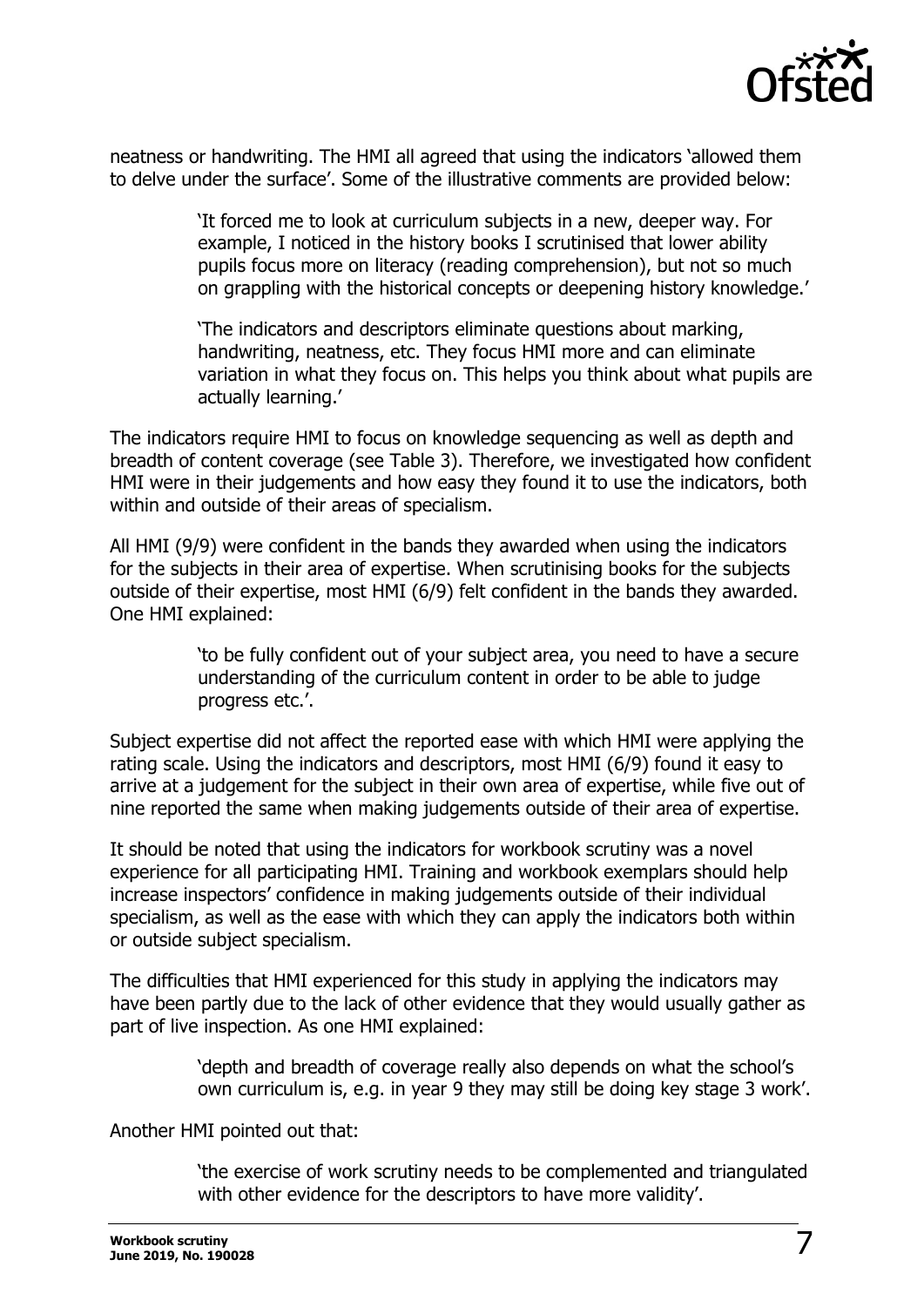

neatness or handwriting. The HMI all agreed that using the indicators 'allowed them to delve under the surface'. Some of the illustrative comments are provided below:

> 'It forced me to look at curriculum subjects in a new, deeper way. For example, I noticed in the history books I scrutinised that lower ability pupils focus more on literacy (reading comprehension), but not so much on grappling with the historical concepts or deepening history knowledge.'

> 'The indicators and descriptors eliminate questions about marking, handwriting, neatness, etc. They focus HMI more and can eliminate variation in what they focus on. This helps you think about what pupils are actually learning.'

The indicators require HMI to focus on knowledge sequencing as well as depth and breadth of content coverage (see Table 3). Therefore, we investigated how confident HMI were in their judgements and how easy they found it to use the indicators, both within and outside of their areas of specialism.

All HMI (9/9) were confident in the bands they awarded when using the indicators for the subjects in their area of expertise. When scrutinising books for the subjects outside of their expertise, most HMI (6/9) felt confident in the bands they awarded. One HMI explained:

> 'to be fully confident out of your subject area, you need to have a secure understanding of the curriculum content in order to be able to judge progress etc.'.

Subject expertise did not affect the reported ease with which HMI were applying the rating scale. Using the indicators and descriptors, most HMI (6/9) found it easy to arrive at a judgement for the subject in their own area of expertise, while five out of nine reported the same when making judgements outside of their area of expertise.

It should be noted that using the indicators for workbook scrutiny was a novel experience for all participating HMI. Training and workbook exemplars should help increase inspectors' confidence in making judgements outside of their individual specialism, as well as the ease with which they can apply the indicators both within or outside subject specialism.

The difficulties that HMI experienced for this study in applying the indicators may have been partly due to the lack of other evidence that they would usually gather as part of live inspection. As one HMI explained:

> 'depth and breadth of coverage really also depends on what the school's own curriculum is, e.g. in year 9 they may still be doing key stage 3 work'.

Another HMI pointed out that:

'the exercise of work scrutiny needs to be complemented and triangulated with other evidence for the descriptors to have more validity'.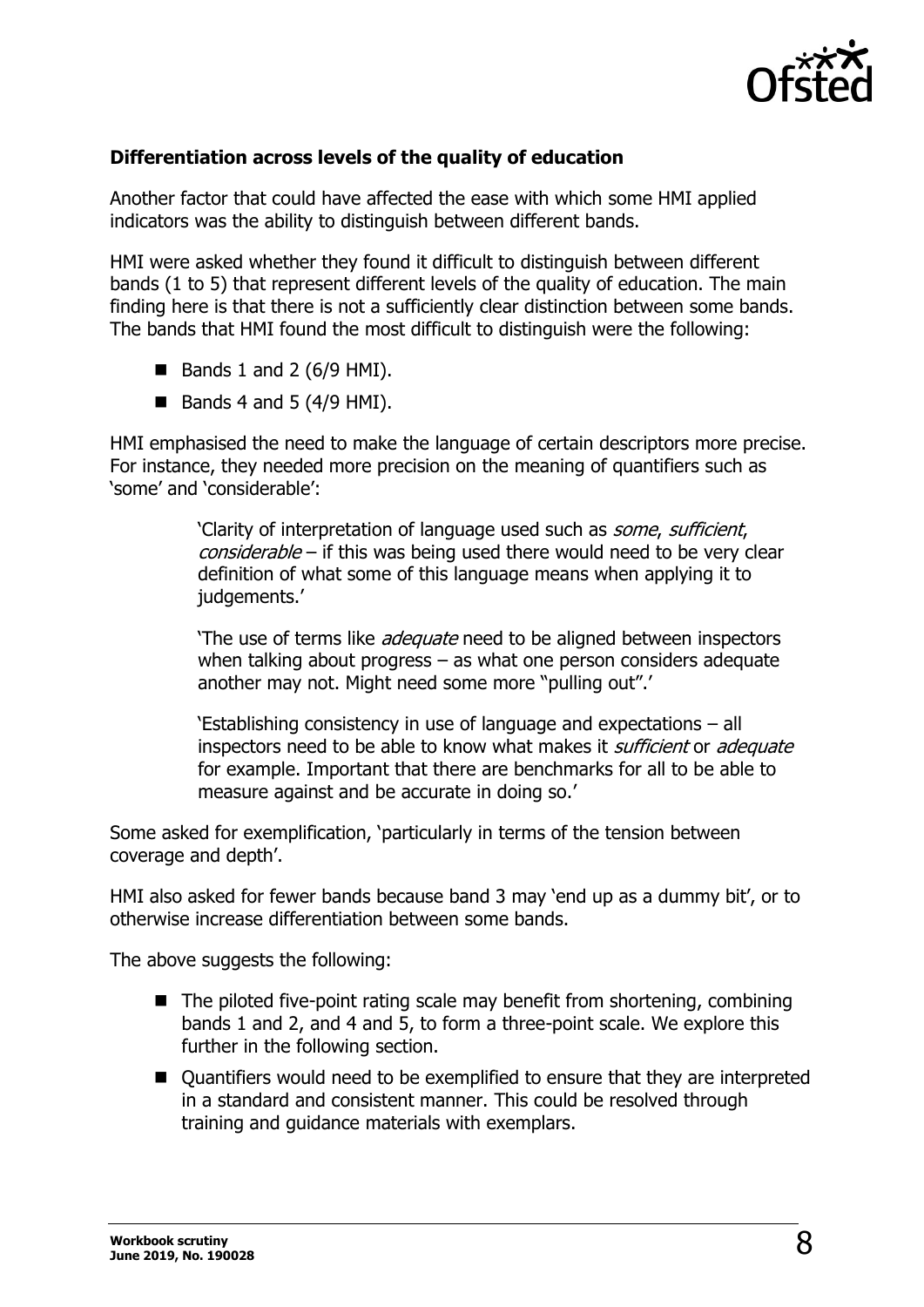

### **Differentiation across levels of the quality of education**

Another factor that could have affected the ease with which some HMI applied indicators was the ability to distinguish between different bands.

HMI were asked whether they found it difficult to distinguish between different bands (1 to 5) that represent different levels of the quality of education. The main finding here is that there is not a sufficiently clear distinction between some bands. The bands that HMI found the most difficult to distinguish were the following:

- $\blacksquare$  Bands 1 and 2 (6/9 HMI).
- $\blacksquare$  Bands 4 and 5 (4/9 HMI).

HMI emphasised the need to make the language of certain descriptors more precise. For instance, they needed more precision on the meaning of quantifiers such as 'some' and 'considerable':

> 'Clarity of interpretation of language used such as some, sufficient, considerable – if this was being used there would need to be very clear definition of what some of this language means when applying it to judgements.'

> 'The use of terms like *adequate* need to be aligned between inspectors when talking about progress – as what one person considers adequate another may not. Might need some more "pulling out".'

'Establishing consistency in use of language and expectations – all inspectors need to be able to know what makes it *sufficient* or *adequate* for example. Important that there are benchmarks for all to be able to measure against and be accurate in doing so.'

Some asked for exemplification, 'particularly in terms of the tension between coverage and depth'.

HMI also asked for fewer bands because band 3 may 'end up as a dummy bit', or to otherwise increase differentiation between some bands.

The above suggests the following:

- The piloted five-point rating scale may benefit from shortening, combining bands 1 and 2, and 4 and 5, to form a three-point scale. We explore this further in the following section.
- Quantifiers would need to be exemplified to ensure that they are interpreted in a standard and consistent manner. This could be resolved through training and guidance materials with exemplars.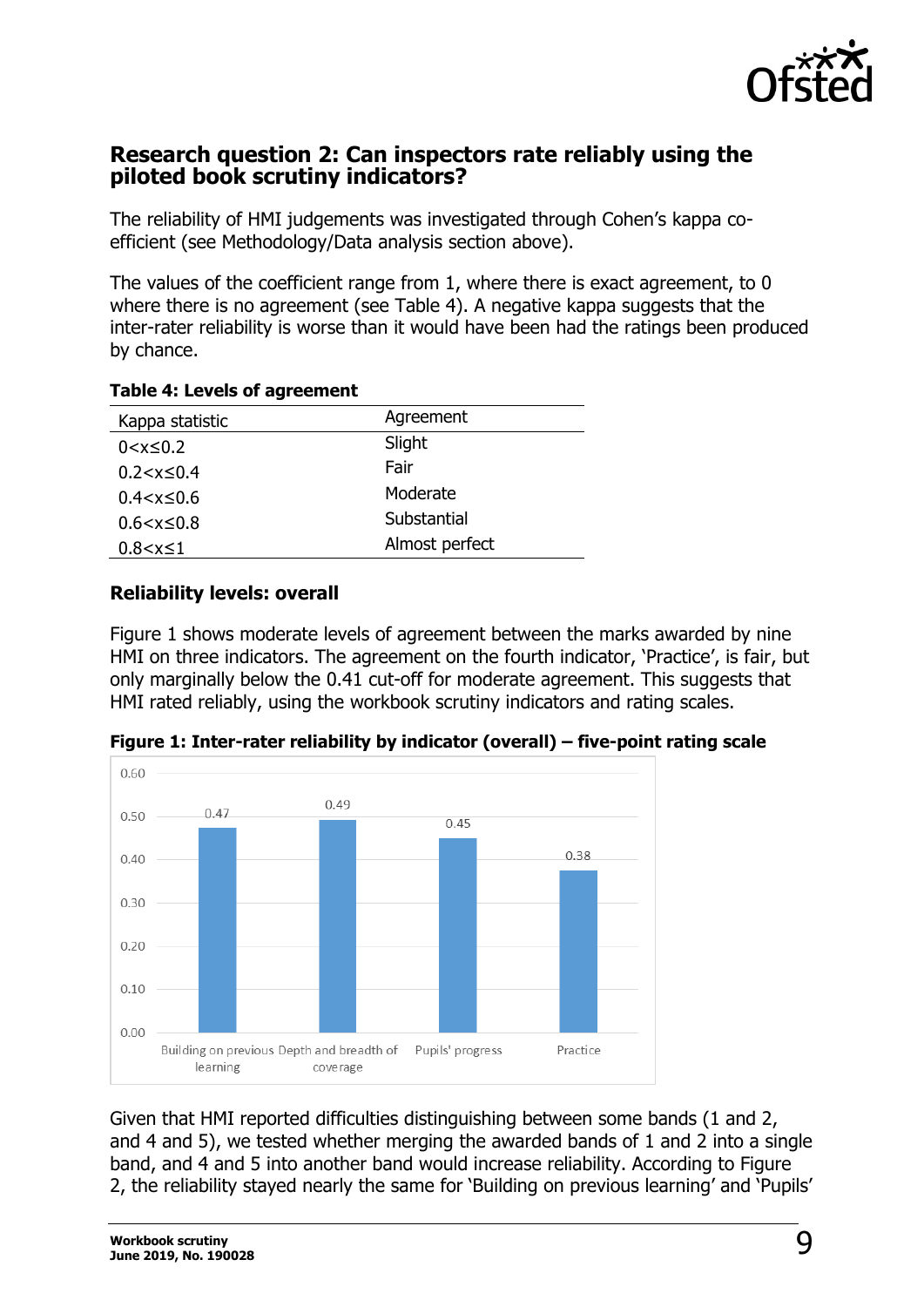

### <span id="page-8-0"></span>**Research question 2: Can inspectors rate reliably using the piloted book scrutiny indicators?**

The reliability of HMI judgements was investigated through Cohen's kappa coefficient (see Methodology/Data analysis section above).

The values of the coefficient range from 1, where there is exact agreement, to 0 where there is no agreement (see Table 4). A negative kappa suggests that the inter-rater reliability is worse than it would have been had the ratings been produced by chance.

| Kappa statistic    | Agreement      |
|--------------------|----------------|
| $0 < x \leq 0.2$   | Slight         |
| $0.2 < x \leq 0.4$ | Fair           |
| $0.4 < x \leq 0.6$ | Moderate       |
| $0.6 < x \leq 0.8$ | Substantial    |
| $0.8 < x \le 1$    | Almost perfect |

#### **Table 4: Levels of agreement**

#### **Reliability levels: overall**

Figure 1 shows moderate levels of agreement between the marks awarded by nine HMI on three indicators. The agreement on the fourth indicator, 'Practice', is fair, but only marginally below the 0.41 cut-off for moderate agreement. This suggests that HMI rated reliably, using the workbook scrutiny indicators and rating scales.



**Figure 1: Inter-rater reliability by indicator (overall) – five-point rating scale**

Given that HMI reported difficulties distinguishing between some bands (1 and 2, and 4 and 5), we tested whether merging the awarded bands of 1 and 2 into a single band, and 4 and 5 into another band would increase reliability. According to Figure 2, the reliability stayed nearly the same for 'Building on previous learning' and 'Pupils'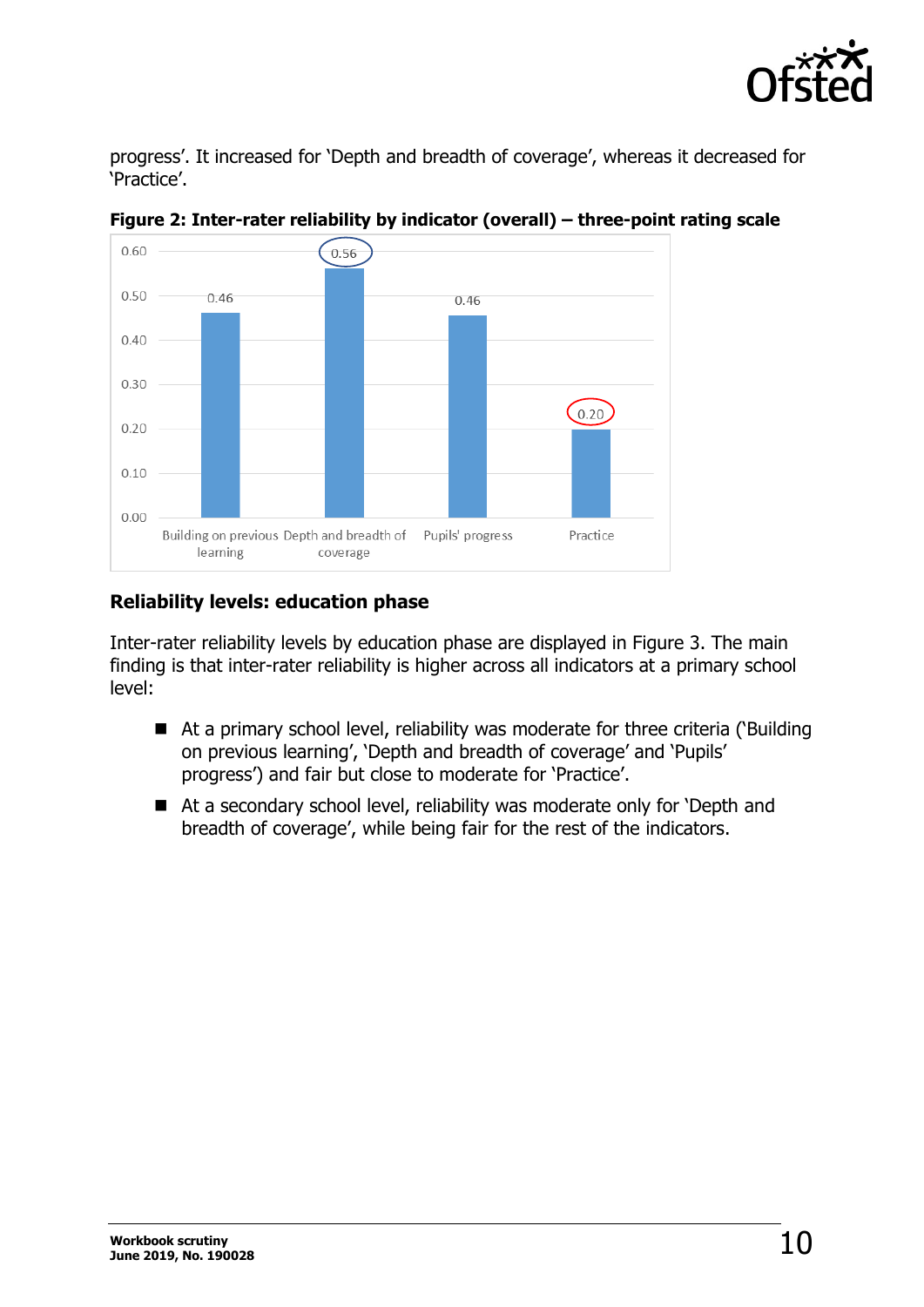

progress'. It increased for 'Depth and breadth of coverage', whereas it decreased for 'Practice'.



**Figure 2: Inter-rater reliability by indicator (overall) – three-point rating scale**

#### **Reliability levels: education phase**

Inter-rater reliability levels by education phase are displayed in Figure 3. The main finding is that inter-rater reliability is higher across all indicators at a primary school level:

- At a primary school level, reliability was moderate for three criteria ('Building on previous learning', 'Depth and breadth of coverage' and 'Pupils' progress') and fair but close to moderate for 'Practice'.
- At a secondary school level, reliability was moderate only for 'Depth and breadth of coverage', while being fair for the rest of the indicators.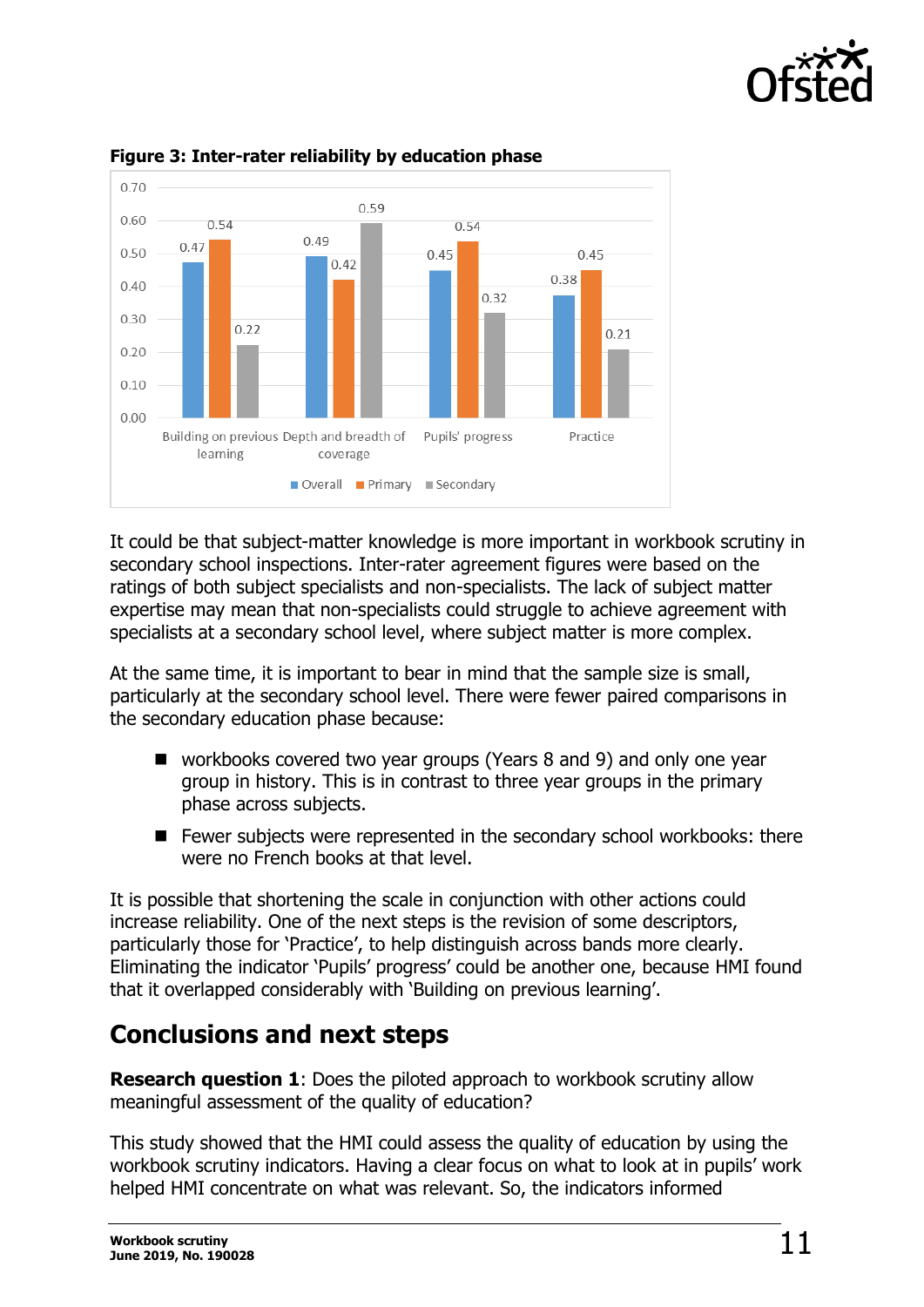



#### **Figure 3: Inter-rater reliability by education phase**

It could be that subject-matter knowledge is more important in workbook scrutiny in secondary school inspections. Inter-rater agreement figures were based on the ratings of both subject specialists and non-specialists. The lack of subject matter expertise may mean that non-specialists could struggle to achieve agreement with specialists at a secondary school level, where subject matter is more complex.

At the same time, it is important to bear in mind that the sample size is small, particularly at the secondary school level. There were fewer paired comparisons in the secondary education phase because:

- workbooks covered two year groups (Years 8 and 9) and only one year group in history. This is in contrast to three year groups in the primary phase across subjects.
- Fewer subjects were represented in the secondary school workbooks: there were no French books at that level

It is possible that shortening the scale in conjunction with other actions could increase reliability. One of the next steps is the revision of some descriptors, particularly those for 'Practice', to help distinguish across bands more clearly. Eliminating the indicator 'Pupils' progress' could be another one, because HMI found that it overlapped considerably with 'Building on previous learning'.

## <span id="page-10-0"></span>**Conclusions and next steps**

**Research question 1**: Does the piloted approach to workbook scrutiny allow meaningful assessment of the quality of education?

This study showed that the HMI could assess the quality of education by using the workbook scrutiny indicators. Having a clear focus on what to look at in pupils' work helped HMI concentrate on what was relevant. So, the indicators informed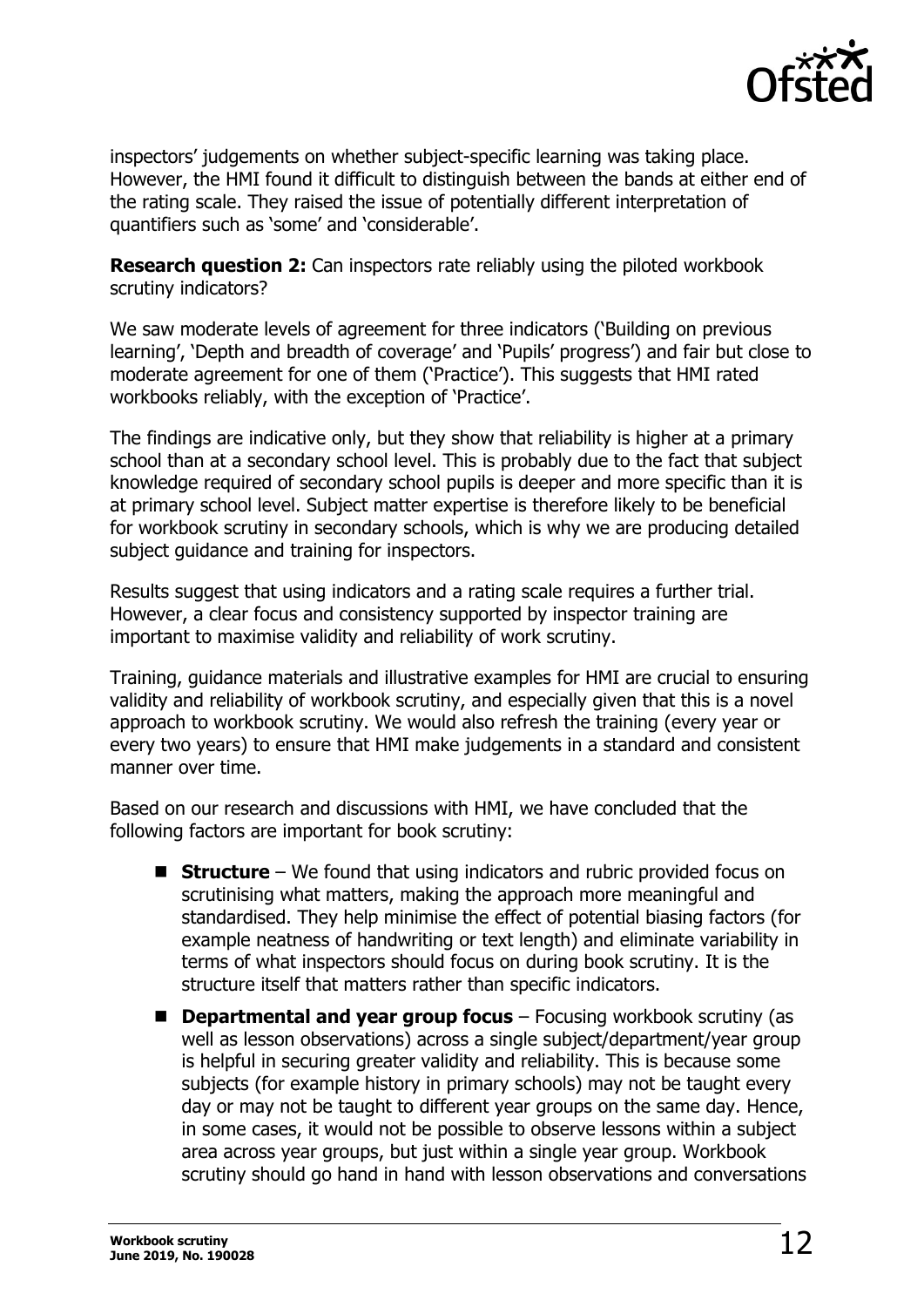

inspectors' judgements on whether subject-specific learning was taking place. However, the HMI found it difficult to distinguish between the bands at either end of the rating scale. They raised the issue of potentially different interpretation of quantifiers such as 'some' and 'considerable'.

**Research question 2:** Can inspectors rate reliably using the piloted workbook scrutiny indicators?

We saw moderate levels of agreement for three indicators ('Building on previous learning', 'Depth and breadth of coverage' and 'Pupils' progress') and fair but close to moderate agreement for one of them ('Practice'). This suggests that HMI rated workbooks reliably, with the exception of 'Practice'.

The findings are indicative only, but they show that reliability is higher at a primary school than at a secondary school level. This is probably due to the fact that subject knowledge required of secondary school pupils is deeper and more specific than it is at primary school level. Subject matter expertise is therefore likely to be beneficial for workbook scrutiny in secondary schools, which is why we are producing detailed subject guidance and training for inspectors.

Results suggest that using indicators and a rating scale requires a further trial. However, a clear focus and consistency supported by inspector training are important to maximise validity and reliability of work scrutiny.

Training, guidance materials and illustrative examples for HMI are crucial to ensuring validity and reliability of workbook scrutiny, and especially given that this is a novel approach to workbook scrutiny. We would also refresh the training (every year or every two years) to ensure that HMI make judgements in a standard and consistent manner over time.

Based on our research and discussions with HMI, we have concluded that the following factors are important for book scrutiny:

- **Structure** We found that using indicators and rubric provided focus on scrutinising what matters, making the approach more meaningful and standardised. They help minimise the effect of potential biasing factors (for example neatness of handwriting or text length) and eliminate variability in terms of what inspectors should focus on during book scrutiny. It is the structure itself that matters rather than specific indicators.
- **Departmental and year group focus** Focusing workbook scrutiny (as well as lesson observations) across a single subject/department/year group is helpful in securing greater validity and reliability. This is because some subjects (for example history in primary schools) may not be taught every day or may not be taught to different year groups on the same day. Hence, in some cases, it would not be possible to observe lessons within a subject area across year groups, but just within a single year group. Workbook scrutiny should go hand in hand with lesson observations and conversations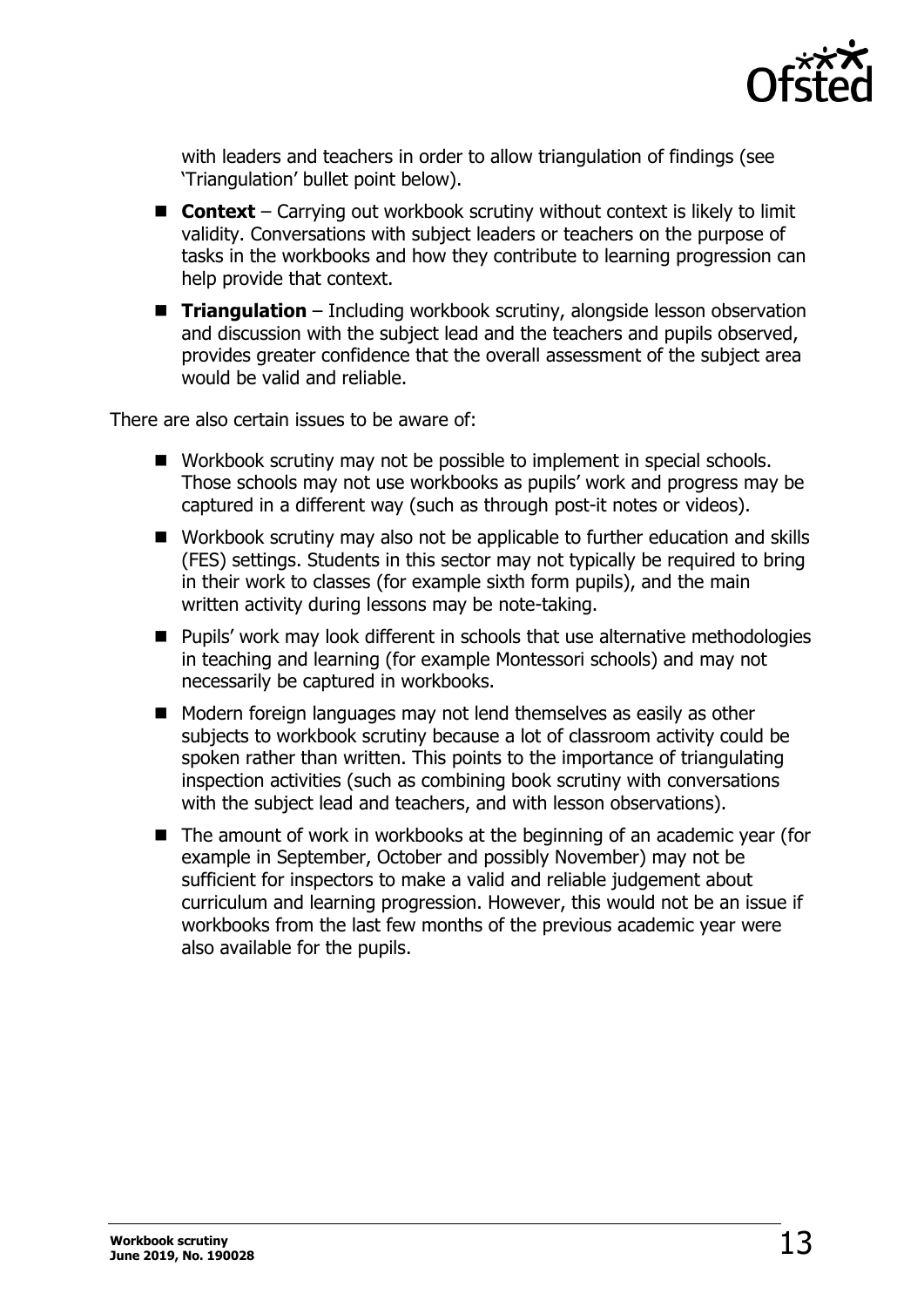

with leaders and teachers in order to allow triangulation of findings (see 'Triangulation' bullet point below).

- **Context** Carrying out workbook scrutiny without context is likely to limit validity. Conversations with subject leaders or teachers on the purpose of tasks in the workbooks and how they contribute to learning progression can help provide that context.
- **Triangulation** Including workbook scrutiny, alongside lesson observation and discussion with the subject lead and the teachers and pupils observed, provides greater confidence that the overall assessment of the subject area would be valid and reliable.

There are also certain issues to be aware of:

- Workbook scrutiny may not be possible to implement in special schools. Those schools may not use workbooks as pupils' work and progress may be captured in a different way (such as through post-it notes or videos).
- Workbook scrutiny may also not be applicable to further education and skills (FES) settings. Students in this sector may not typically be required to bring in their work to classes (for example sixth form pupils), and the main written activity during lessons may be note-taking.
- Pupils' work may look different in schools that use alternative methodologies in teaching and learning (for example Montessori schools) and may not necessarily be captured in workbooks.
- Modern foreign languages may not lend themselves as easily as other subjects to workbook scrutiny because a lot of classroom activity could be spoken rather than written. This points to the importance of triangulating inspection activities (such as combining book scrutiny with conversations with the subject lead and teachers, and with lesson observations).
- The amount of work in workbooks at the beginning of an academic year (for example in September, October and possibly November) may not be sufficient for inspectors to make a valid and reliable judgement about curriculum and learning progression. However, this would not be an issue if workbooks from the last few months of the previous academic year were also available for the pupils.